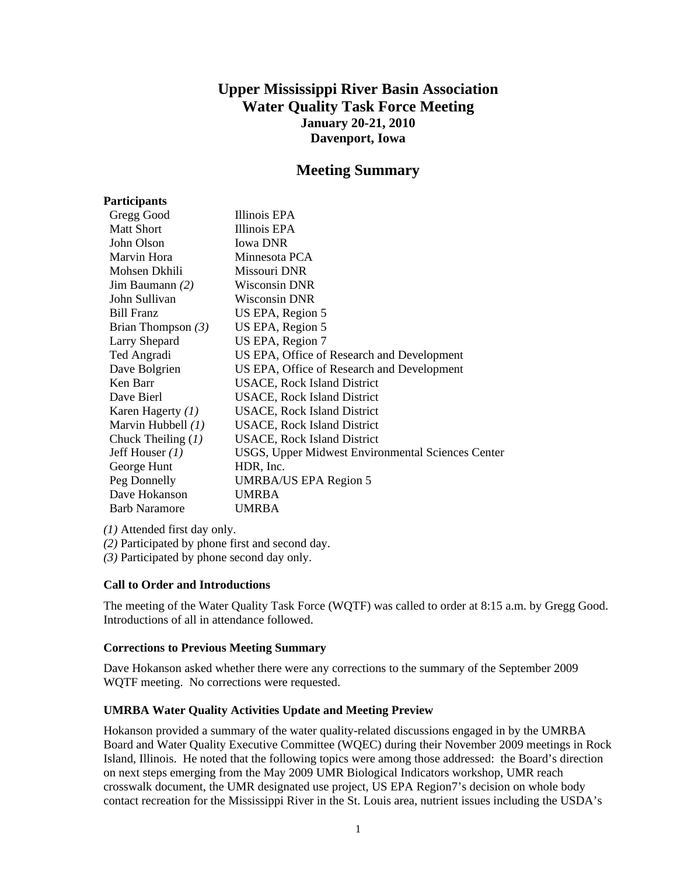# **Upper Mississippi River Basin Association Water Quality Task Force Meeting January 20-21, 2010 Davenport, Iowa**

# **Meeting Summary**

| Participants         |                                                   |
|----------------------|---------------------------------------------------|
| Gregg Good           | Illinois EPA                                      |
| <b>Matt Short</b>    | Illinois EPA                                      |
| John Olson           | <b>Iowa DNR</b>                                   |
| Marvin Hora          | Minnesota PCA                                     |
| Mohsen Dkhili        | Missouri DNR                                      |
| Jim Baumann $(2)$    | Wisconsin DNR                                     |
| John Sullivan        | Wisconsin DNR                                     |
| <b>Bill Franz</b>    | US EPA, Region 5                                  |
| Brian Thompson $(3)$ | US EPA, Region 5                                  |
| <b>Larry Shepard</b> | US EPA, Region 7                                  |
| Ted Angradi          | US EPA, Office of Research and Development        |
| Dave Bolgrien        | US EPA, Office of Research and Development        |
| Ken Barr             | <b>USACE, Rock Island District</b>                |
| Dave Bierl           | <b>USACE, Rock Island District</b>                |
| Karen Hagerty (1)    | <b>USACE, Rock Island District</b>                |
| Marvin Hubbell $(1)$ | <b>USACE, Rock Island District</b>                |
| Chuck Theiling $(1)$ | <b>USACE, Rock Island District</b>                |
| Jeff Houser $(1)$    | USGS, Upper Midwest Environmental Sciences Center |
| George Hunt          | HDR, Inc.                                         |
| Peg Donnelly         | UMRBA/US EPA Region 5                             |
| Dave Hokanson        | <b>UMRBA</b>                                      |
| <b>Barb Naramore</b> | <b>UMRBA</b>                                      |

*(1)* Attended first day only.

*(2)* Participated by phone first and second day.

*(3)* Participated by phone second day only.

# **Call to Order and Introductions**

The meeting of the Water Quality Task Force (WQTF) was called to order at 8:15 a.m. by Gregg Good. Introductions of all in attendance followed.

# **Corrections to Previous Meeting Summary**

Dave Hokanson asked whether there were any corrections to the summary of the September 2009 WQTF meeting. No corrections were requested.

# **UMRBA Water Quality Activities Update and Meeting Preview**

Hokanson provided a summary of the water quality-related discussions engaged in by the UMRBA Board and Water Quality Executive Committee (WQEC) during their November 2009 meetings in Rock Island, Illinois. He noted that the following topics were among those addressed: the Board's direction on next steps emerging from the May 2009 UMR Biological Indicators workshop, UMR reach crosswalk document, the UMR designated use project, US EPA Region7's decision on whole body contact recreation for the Mississippi River in the St. Louis area, nutrient issues including the USDA's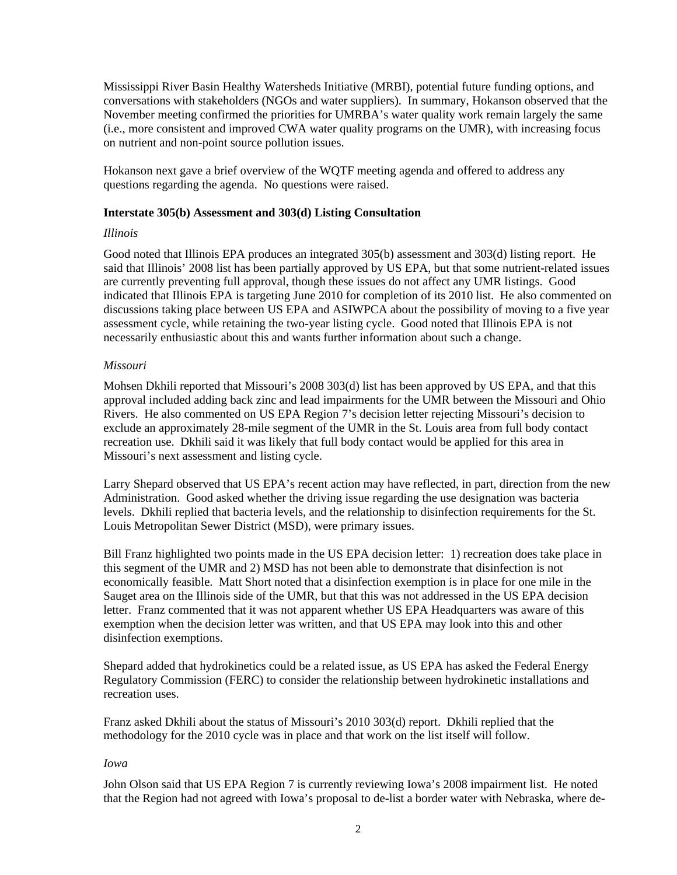Mississippi River Basin Healthy Watersheds Initiative (MRBI), potential future funding options, and conversations with stakeholders (NGOs and water suppliers). In summary, Hokanson observed that the November meeting confirmed the priorities for UMRBA's water quality work remain largely the same (i.e., more consistent and improved CWA water quality programs on the UMR), with increasing focus on nutrient and non-point source pollution issues.

Hokanson next gave a brief overview of the WQTF meeting agenda and offered to address any questions regarding the agenda. No questions were raised.

# **Interstate 305(b) Assessment and 303(d) Listing Consultation**

#### *Illinois*

Good noted that Illinois EPA produces an integrated 305(b) assessment and 303(d) listing report. He said that Illinois' 2008 list has been partially approved by US EPA, but that some nutrient-related issues are currently preventing full approval, though these issues do not affect any UMR listings. Good indicated that Illinois EPA is targeting June 2010 for completion of its 2010 list. He also commented on discussions taking place between US EPA and ASIWPCA about the possibility of moving to a five year assessment cycle, while retaining the two-year listing cycle. Good noted that Illinois EPA is not necessarily enthusiastic about this and wants further information about such a change.

# *Missouri*

Mohsen Dkhili reported that Missouri's 2008 303(d) list has been approved by US EPA, and that this approval included adding back zinc and lead impairments for the UMR between the Missouri and Ohio Rivers. He also commented on US EPA Region 7's decision letter rejecting Missouri's decision to exclude an approximately 28-mile segment of the UMR in the St. Louis area from full body contact recreation use. Dkhili said it was likely that full body contact would be applied for this area in Missouri's next assessment and listing cycle.

Larry Shepard observed that US EPA's recent action may have reflected, in part, direction from the new Administration. Good asked whether the driving issue regarding the use designation was bacteria levels. Dkhili replied that bacteria levels, and the relationship to disinfection requirements for the St. Louis Metropolitan Sewer District (MSD), were primary issues.

Bill Franz highlighted two points made in the US EPA decision letter: 1) recreation does take place in this segment of the UMR and 2) MSD has not been able to demonstrate that disinfection is not economically feasible. Matt Short noted that a disinfection exemption is in place for one mile in the Sauget area on the Illinois side of the UMR, but that this was not addressed in the US EPA decision letter. Franz commented that it was not apparent whether US EPA Headquarters was aware of this exemption when the decision letter was written, and that US EPA may look into this and other disinfection exemptions.

Shepard added that hydrokinetics could be a related issue, as US EPA has asked the Federal Energy Regulatory Commission (FERC) to consider the relationship between hydrokinetic installations and recreation uses.

Franz asked Dkhili about the status of Missouri's 2010 303(d) report. Dkhili replied that the methodology for the 2010 cycle was in place and that work on the list itself will follow.

#### *Iowa*

John Olson said that US EPA Region 7 is currently reviewing Iowa's 2008 impairment list. He noted that the Region had not agreed with Iowa's proposal to de-list a border water with Nebraska, where de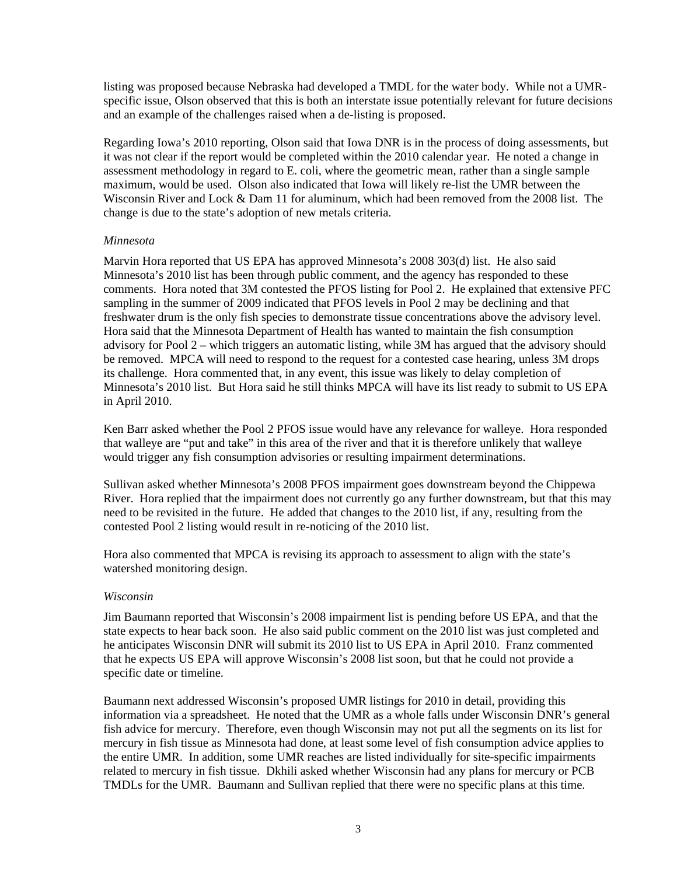listing was proposed because Nebraska had developed a TMDL for the water body. While not a UMRspecific issue, Olson observed that this is both an interstate issue potentially relevant for future decisions and an example of the challenges raised when a de-listing is proposed.

Regarding Iowa's 2010 reporting, Olson said that Iowa DNR is in the process of doing assessments, but it was not clear if the report would be completed within the 2010 calendar year. He noted a change in assessment methodology in regard to E. coli, where the geometric mean, rather than a single sample maximum, would be used. Olson also indicated that Iowa will likely re-list the UMR between the Wisconsin River and Lock & Dam 11 for aluminum, which had been removed from the 2008 list. The change is due to the state's adoption of new metals criteria.

#### *Minnesota*

Marvin Hora reported that US EPA has approved Minnesota's 2008 303(d) list. He also said Minnesota's 2010 list has been through public comment, and the agency has responded to these comments. Hora noted that 3M contested the PFOS listing for Pool 2. He explained that extensive PFC sampling in the summer of 2009 indicated that PFOS levels in Pool 2 may be declining and that freshwater drum is the only fish species to demonstrate tissue concentrations above the advisory level. Hora said that the Minnesota Department of Health has wanted to maintain the fish consumption advisory for Pool 2 – which triggers an automatic listing, while 3M has argued that the advisory should be removed. MPCA will need to respond to the request for a contested case hearing, unless 3M drops its challenge. Hora commented that, in any event, this issue was likely to delay completion of Minnesota's 2010 list. But Hora said he still thinks MPCA will have its list ready to submit to US EPA in April 2010.

Ken Barr asked whether the Pool 2 PFOS issue would have any relevance for walleye. Hora responded that walleye are "put and take" in this area of the river and that it is therefore unlikely that walleye would trigger any fish consumption advisories or resulting impairment determinations.

Sullivan asked whether Minnesota's 2008 PFOS impairment goes downstream beyond the Chippewa River. Hora replied that the impairment does not currently go any further downstream, but that this may need to be revisited in the future. He added that changes to the 2010 list, if any, resulting from the contested Pool 2 listing would result in re-noticing of the 2010 list.

Hora also commented that MPCA is revising its approach to assessment to align with the state's watershed monitoring design.

#### *Wisconsin*

Jim Baumann reported that Wisconsin's 2008 impairment list is pending before US EPA, and that the state expects to hear back soon. He also said public comment on the 2010 list was just completed and he anticipates Wisconsin DNR will submit its 2010 list to US EPA in April 2010. Franz commented that he expects US EPA will approve Wisconsin's 2008 list soon, but that he could not provide a specific date or timeline.

Baumann next addressed Wisconsin's proposed UMR listings for 2010 in detail, providing this information via a spreadsheet. He noted that the UMR as a whole falls under Wisconsin DNR's general fish advice for mercury. Therefore, even though Wisconsin may not put all the segments on its list for mercury in fish tissue as Minnesota had done, at least some level of fish consumption advice applies to the entire UMR. In addition, some UMR reaches are listed individually for site-specific impairments related to mercury in fish tissue. Dkhili asked whether Wisconsin had any plans for mercury or PCB TMDLs for the UMR. Baumann and Sullivan replied that there were no specific plans at this time.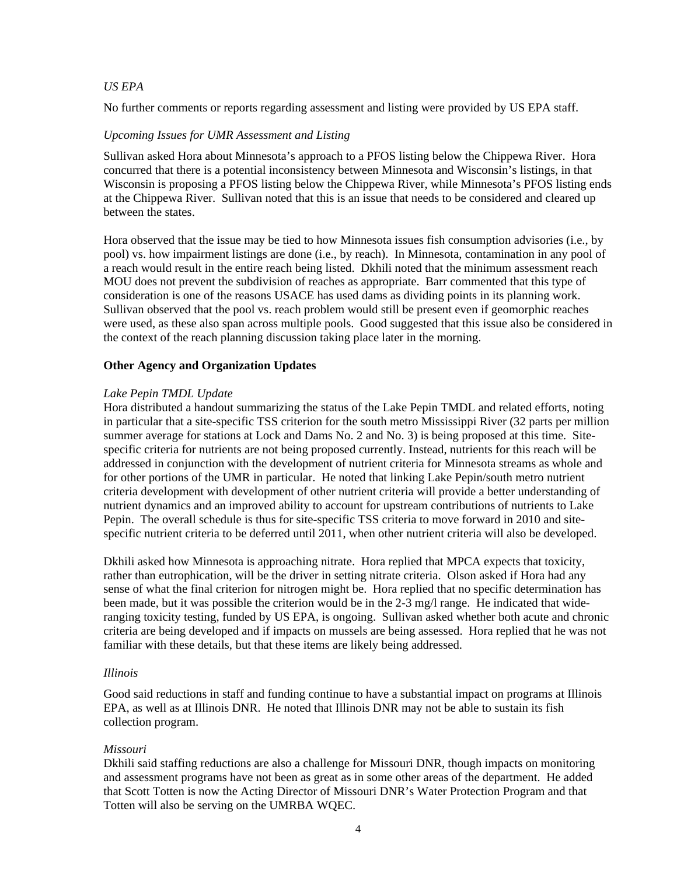#### *US EPA*

No further comments or reports regarding assessment and listing were provided by US EPA staff.

#### *Upcoming Issues for UMR Assessment and Listing*

Sullivan asked Hora about Minnesota's approach to a PFOS listing below the Chippewa River. Hora concurred that there is a potential inconsistency between Minnesota and Wisconsin's listings, in that Wisconsin is proposing a PFOS listing below the Chippewa River, while Minnesota's PFOS listing ends at the Chippewa River. Sullivan noted that this is an issue that needs to be considered and cleared up between the states.

Hora observed that the issue may be tied to how Minnesota issues fish consumption advisories (i.e., by pool) vs. how impairment listings are done (i.e., by reach). In Minnesota, contamination in any pool of a reach would result in the entire reach being listed. Dkhili noted that the minimum assessment reach MOU does not prevent the subdivision of reaches as appropriate. Barr commented that this type of consideration is one of the reasons USACE has used dams as dividing points in its planning work. Sullivan observed that the pool vs. reach problem would still be present even if geomorphic reaches were used, as these also span across multiple pools. Good suggested that this issue also be considered in the context of the reach planning discussion taking place later in the morning.

#### **Other Agency and Organization Updates**

#### *Lake Pepin TMDL Update*

Hora distributed a handout summarizing the status of the Lake Pepin TMDL and related efforts, noting in particular that a site-specific TSS criterion for the south metro Mississippi River (32 parts per million summer average for stations at Lock and Dams No. 2 and No. 3) is being proposed at this time. Sitespecific criteria for nutrients are not being proposed currently. Instead, nutrients for this reach will be addressed in conjunction with the development of nutrient criteria for Minnesota streams as whole and for other portions of the UMR in particular. He noted that linking Lake Pepin/south metro nutrient criteria development with development of other nutrient criteria will provide a better understanding of nutrient dynamics and an improved ability to account for upstream contributions of nutrients to Lake Pepin. The overall schedule is thus for site-specific TSS criteria to move forward in 2010 and sitespecific nutrient criteria to be deferred until 2011, when other nutrient criteria will also be developed.

Dkhili asked how Minnesota is approaching nitrate. Hora replied that MPCA expects that toxicity, rather than eutrophication, will be the driver in setting nitrate criteria. Olson asked if Hora had any sense of what the final criterion for nitrogen might be. Hora replied that no specific determination has been made, but it was possible the criterion would be in the 2-3 mg/l range. He indicated that wideranging toxicity testing, funded by US EPA, is ongoing. Sullivan asked whether both acute and chronic criteria are being developed and if impacts on mussels are being assessed. Hora replied that he was not familiar with these details, but that these items are likely being addressed.

#### *Illinois*

Good said reductions in staff and funding continue to have a substantial impact on programs at Illinois EPA, as well as at Illinois DNR. He noted that Illinois DNR may not be able to sustain its fish collection program.

# *Missouri*

Dkhili said staffing reductions are also a challenge for Missouri DNR, though impacts on monitoring and assessment programs have not been as great as in some other areas of the department. He added that Scott Totten is now the Acting Director of Missouri DNR's Water Protection Program and that Totten will also be serving on the UMRBA WQEC.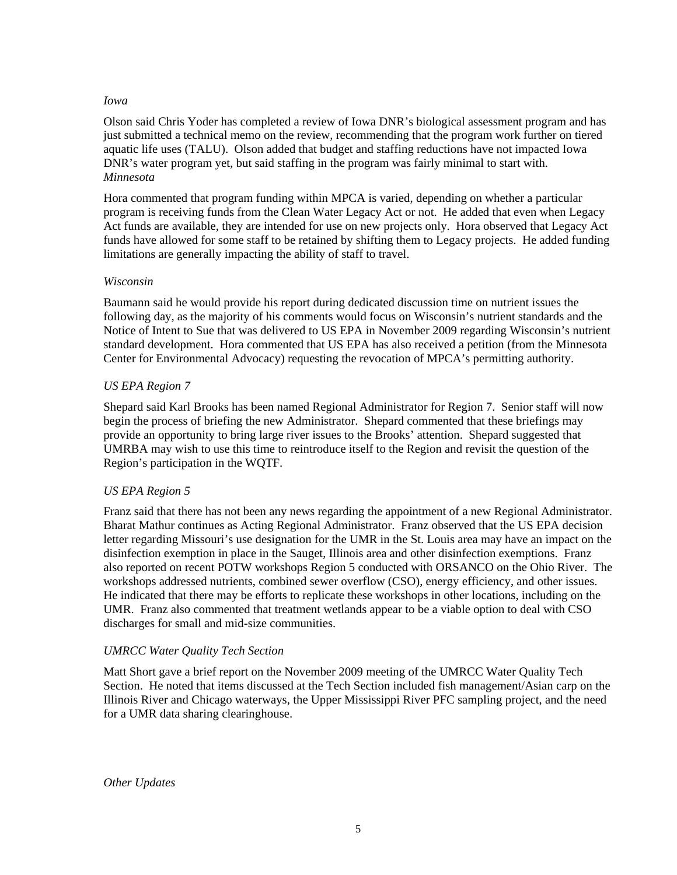#### *Iowa*

Olson said Chris Yoder has completed a review of Iowa DNR's biological assessment program and has just submitted a technical memo on the review, recommending that the program work further on tiered aquatic life uses (TALU). Olson added that budget and staffing reductions have not impacted Iowa DNR's water program yet, but said staffing in the program was fairly minimal to start with. *Minnesota*

Hora commented that program funding within MPCA is varied, depending on whether a particular program is receiving funds from the Clean Water Legacy Act or not. He added that even when Legacy Act funds are available, they are intended for use on new projects only. Hora observed that Legacy Act funds have allowed for some staff to be retained by shifting them to Legacy projects. He added funding limitations are generally impacting the ability of staff to travel.

#### *Wisconsin*

Baumann said he would provide his report during dedicated discussion time on nutrient issues the following day, as the majority of his comments would focus on Wisconsin's nutrient standards and the Notice of Intent to Sue that was delivered to US EPA in November 2009 regarding Wisconsin's nutrient standard development. Hora commented that US EPA has also received a petition (from the Minnesota Center for Environmental Advocacy) requesting the revocation of MPCA's permitting authority.

# *US EPA Region 7*

Shepard said Karl Brooks has been named Regional Administrator for Region 7. Senior staff will now begin the process of briefing the new Administrator. Shepard commented that these briefings may provide an opportunity to bring large river issues to the Brooks' attention. Shepard suggested that UMRBA may wish to use this time to reintroduce itself to the Region and revisit the question of the Region's participation in the WQTF.

# *US EPA Region 5*

Franz said that there has not been any news regarding the appointment of a new Regional Administrator. Bharat Mathur continues as Acting Regional Administrator. Franz observed that the US EPA decision letter regarding Missouri's use designation for the UMR in the St. Louis area may have an impact on the disinfection exemption in place in the Sauget, Illinois area and other disinfection exemptions. Franz also reported on recent POTW workshops Region 5 conducted with ORSANCO on the Ohio River. The workshops addressed nutrients, combined sewer overflow (CSO), energy efficiency, and other issues. He indicated that there may be efforts to replicate these workshops in other locations, including on the UMR. Franz also commented that treatment wetlands appear to be a viable option to deal with CSO discharges for small and mid-size communities.

# *UMRCC Water Quality Tech Section*

Matt Short gave a brief report on the November 2009 meeting of the UMRCC Water Quality Tech Section. He noted that items discussed at the Tech Section included fish management/Asian carp on the Illinois River and Chicago waterways, the Upper Mississippi River PFC sampling project, and the need for a UMR data sharing clearinghouse.

*Other Updates*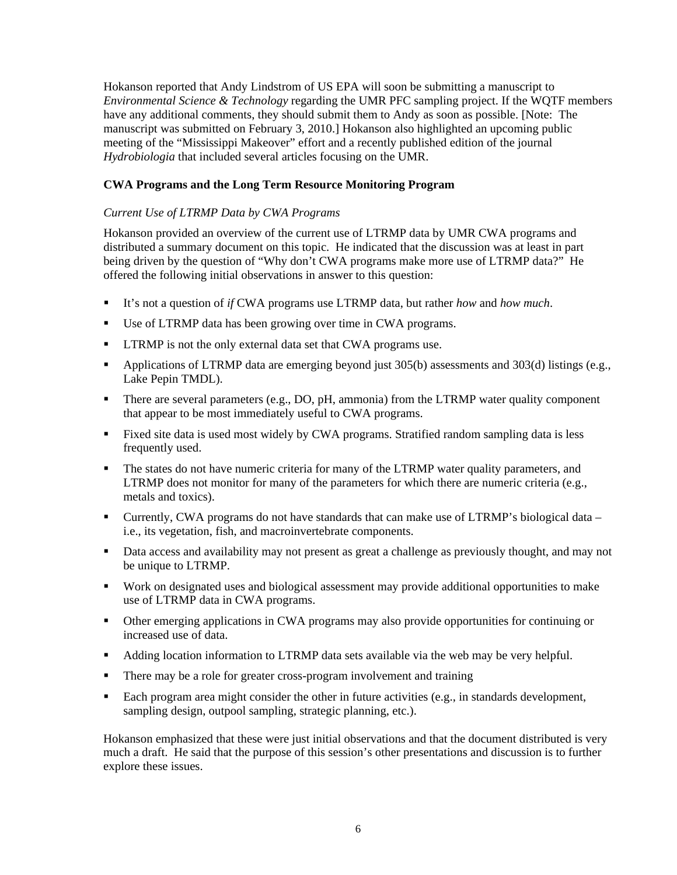Hokanson reported that Andy Lindstrom of US EPA will soon be submitting a manuscript to *Environmental Science & Technology* regarding the UMR PFC sampling project. If the WQTF members have any additional comments, they should submit them to Andy as soon as possible. [Note: The manuscript was submitted on February 3, 2010.] Hokanson also highlighted an upcoming public meeting of the "Mississippi Makeover" effort and a recently published edition of the journal *Hydrobiologia* that included several articles focusing on the UMR.

# **CWA Programs and the Long Term Resource Monitoring Program**

# *Current Use of LTRMP Data by CWA Programs*

Hokanson provided an overview of the current use of LTRMP data by UMR CWA programs and distributed a summary document on this topic. He indicated that the discussion was at least in part being driven by the question of "Why don't CWA programs make more use of LTRMP data?" He offered the following initial observations in answer to this question:

- It's not a question of *if* CWA programs use LTRMP data, but rather *how* and *how much*.
- Use of LTRMP data has been growing over time in CWA programs.
- **I** LTRMP is not the only external data set that CWA programs use.
- Applications of LTRMP data are emerging beyond just 305(b) assessments and 303(d) listings (e.g., Lake Pepin TMDL).
- There are several parameters (e.g., DO, pH, ammonia) from the LTRMP water quality component that appear to be most immediately useful to CWA programs.
- Fixed site data is used most widely by CWA programs. Stratified random sampling data is less frequently used.
- The states do not have numeric criteria for many of the LTRMP water quality parameters, and LTRMP does not monitor for many of the parameters for which there are numeric criteria (e.g., metals and toxics).
- Currently, CWA programs do not have standards that can make use of LTRMP's biological data i.e., its vegetation, fish, and macroinvertebrate components.
- **Data access and availability may not present as great a challenge as previously thought, and may not** be unique to LTRMP.
- Work on designated uses and biological assessment may provide additional opportunities to make use of LTRMP data in CWA programs.
- Other emerging applications in CWA programs may also provide opportunities for continuing or increased use of data.
- Adding location information to LTRMP data sets available via the web may be very helpful.
- There may be a role for greater cross-program involvement and training
- Each program area might consider the other in future activities (e.g., in standards development, sampling design, outpool sampling, strategic planning, etc.).

Hokanson emphasized that these were just initial observations and that the document distributed is very much a draft. He said that the purpose of this session's other presentations and discussion is to further explore these issues.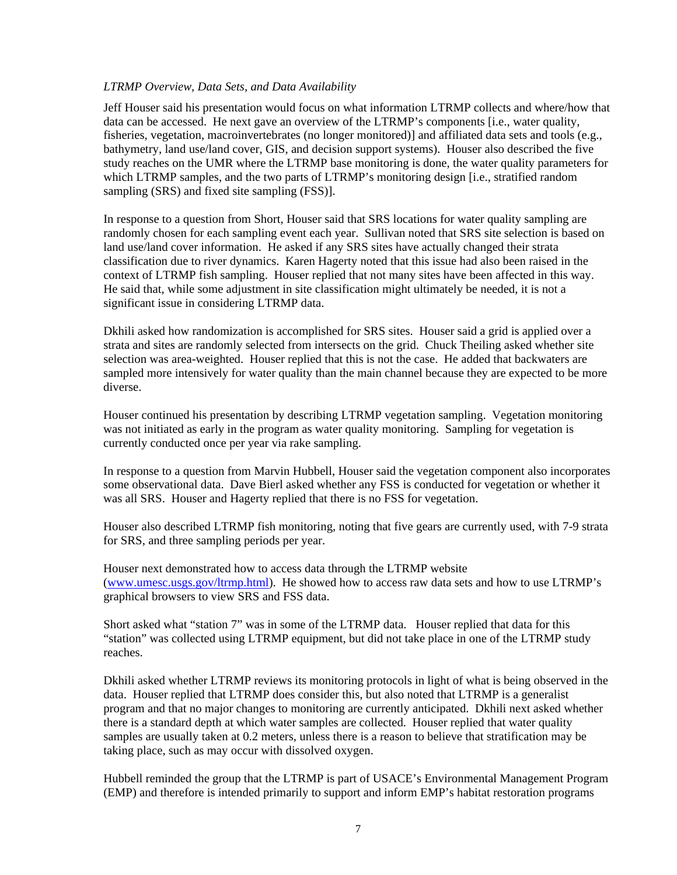#### *LTRMP Overview, Data Sets, and Data Availability*

Jeff Houser said his presentation would focus on what information LTRMP collects and where/how that data can be accessed. He next gave an overview of the LTRMP's components [i.e., water quality, fisheries, vegetation, macroinvertebrates (no longer monitored)] and affiliated data sets and tools (e.g., bathymetry, land use/land cover, GIS, and decision support systems). Houser also described the five study reaches on the UMR where the LTRMP base monitoring is done, the water quality parameters for which LTRMP samples, and the two parts of LTRMP's monitoring design [i.e., stratified random sampling (SRS) and fixed site sampling (FSS)].

In response to a question from Short, Houser said that SRS locations for water quality sampling are randomly chosen for each sampling event each year. Sullivan noted that SRS site selection is based on land use/land cover information. He asked if any SRS sites have actually changed their strata classification due to river dynamics. Karen Hagerty noted that this issue had also been raised in the context of LTRMP fish sampling. Houser replied that not many sites have been affected in this way. He said that, while some adjustment in site classification might ultimately be needed, it is not a significant issue in considering LTRMP data.

Dkhili asked how randomization is accomplished for SRS sites. Houser said a grid is applied over a strata and sites are randomly selected from intersects on the grid. Chuck Theiling asked whether site selection was area-weighted. Houser replied that this is not the case. He added that backwaters are sampled more intensively for water quality than the main channel because they are expected to be more diverse.

Houser continued his presentation by describing LTRMP vegetation sampling. Vegetation monitoring was not initiated as early in the program as water quality monitoring. Sampling for vegetation is currently conducted once per year via rake sampling.

In response to a question from Marvin Hubbell, Houser said the vegetation component also incorporates some observational data. Dave Bierl asked whether any FSS is conducted for vegetation or whether it was all SRS. Houser and Hagerty replied that there is no FSS for vegetation.

Houser also described LTRMP fish monitoring, noting that five gears are currently used, with 7-9 strata for SRS, and three sampling periods per year.

Houser next demonstrated how to access data through the LTRMP website [\(www.umesc.usgs.gov/ltrmp.html\)](http://www.umesc.usgs.gov/ltrmp.html). He showed how to access raw data sets and how to use LTRMP's graphical browsers to view SRS and FSS data.

Short asked what "station 7" was in some of the LTRMP data. Houser replied that data for this "station" was collected using LTRMP equipment, but did not take place in one of the LTRMP study reaches.

Dkhili asked whether LTRMP reviews its monitoring protocols in light of what is being observed in the data. Houser replied that LTRMP does consider this, but also noted that LTRMP is a generalist program and that no major changes to monitoring are currently anticipated. Dkhili next asked whether there is a standard depth at which water samples are collected. Houser replied that water quality samples are usually taken at 0.2 meters, unless there is a reason to believe that stratification may be taking place, such as may occur with dissolved oxygen.

Hubbell reminded the group that the LTRMP is part of USACE's Environmental Management Program (EMP) and therefore is intended primarily to support and inform EMP's habitat restoration programs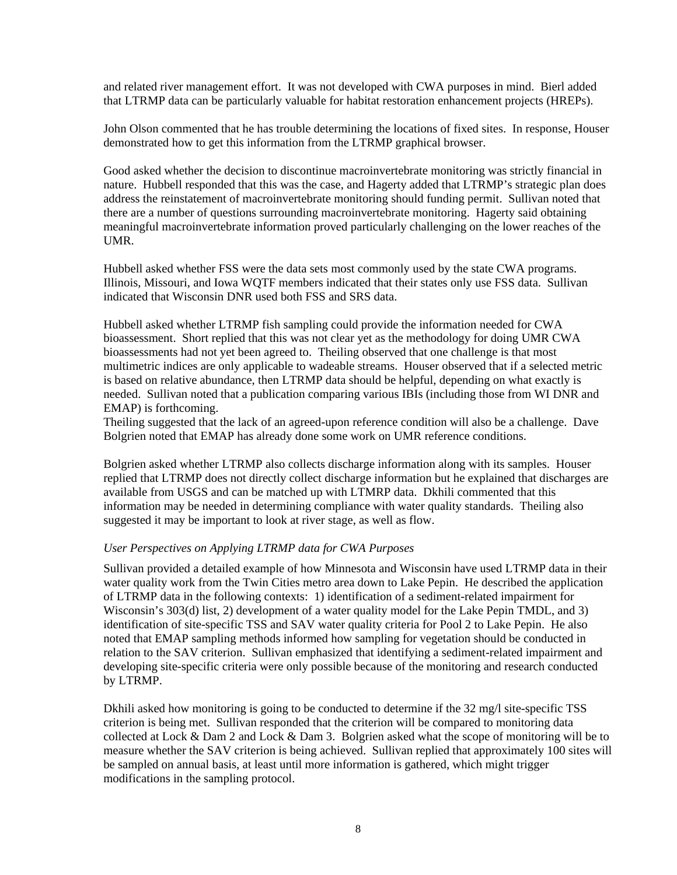and related river management effort. It was not developed with CWA purposes in mind. Bierl added that LTRMP data can be particularly valuable for habitat restoration enhancement projects (HREPs).

John Olson commented that he has trouble determining the locations of fixed sites. In response, Houser demonstrated how to get this information from the LTRMP graphical browser.

Good asked whether the decision to discontinue macroinvertebrate monitoring was strictly financial in nature. Hubbell responded that this was the case, and Hagerty added that LTRMP's strategic plan does address the reinstatement of macroinvertebrate monitoring should funding permit. Sullivan noted that there are a number of questions surrounding macroinvertebrate monitoring. Hagerty said obtaining meaningful macroinvertebrate information proved particularly challenging on the lower reaches of the UMR.

Hubbell asked whether FSS were the data sets most commonly used by the state CWA programs. Illinois, Missouri, and Iowa WQTF members indicated that their states only use FSS data. Sullivan indicated that Wisconsin DNR used both FSS and SRS data.

Hubbell asked whether LTRMP fish sampling could provide the information needed for CWA bioassessment. Short replied that this was not clear yet as the methodology for doing UMR CWA bioassessments had not yet been agreed to. Theiling observed that one challenge is that most multimetric indices are only applicable to wadeable streams. Houser observed that if a selected metric is based on relative abundance, then LTRMP data should be helpful, depending on what exactly is needed. Sullivan noted that a publication comparing various IBIs (including those from WI DNR and EMAP) is forthcoming.

Theiling suggested that the lack of an agreed-upon reference condition will also be a challenge. Dave Bolgrien noted that EMAP has already done some work on UMR reference conditions.

Bolgrien asked whether LTRMP also collects discharge information along with its samples. Houser replied that LTRMP does not directly collect discharge information but he explained that discharges are available from USGS and can be matched up with LTMRP data. Dkhili commented that this information may be needed in determining compliance with water quality standards. Theiling also suggested it may be important to look at river stage, as well as flow.

# *User Perspectives on Applying LTRMP data for CWA Purposes*

Sullivan provided a detailed example of how Minnesota and Wisconsin have used LTRMP data in their water quality work from the Twin Cities metro area down to Lake Pepin. He described the application of LTRMP data in the following contexts: 1) identification of a sediment-related impairment for Wisconsin's 303(d) list, 2) development of a water quality model for the Lake Pepin TMDL, and 3) identification of site-specific TSS and SAV water quality criteria for Pool 2 to Lake Pepin. He also noted that EMAP sampling methods informed how sampling for vegetation should be conducted in relation to the SAV criterion. Sullivan emphasized that identifying a sediment-related impairment and developing site-specific criteria were only possible because of the monitoring and research conducted by LTRMP.

Dkhili asked how monitoring is going to be conducted to determine if the 32 mg/l site-specific TSS criterion is being met. Sullivan responded that the criterion will be compared to monitoring data collected at Lock  $\&$  Dam 2 and Lock  $\&$  Dam 3. Bolgrien asked what the scope of monitoring will be to measure whether the SAV criterion is being achieved. Sullivan replied that approximately 100 sites will be sampled on annual basis, at least until more information is gathered, which might trigger modifications in the sampling protocol.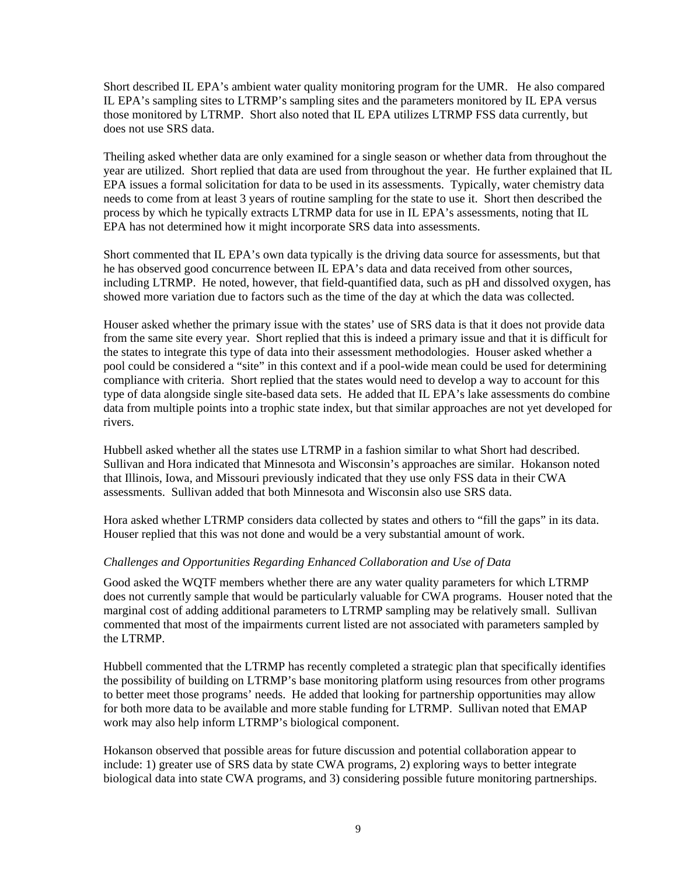Short described IL EPA's ambient water quality monitoring program for the UMR. He also compared IL EPA's sampling sites to LTRMP's sampling sites and the parameters monitored by IL EPA versus those monitored by LTRMP. Short also noted that IL EPA utilizes LTRMP FSS data currently, but does not use SRS data.

Theiling asked whether data are only examined for a single season or whether data from throughout the year are utilized. Short replied that data are used from throughout the year. He further explained that IL EPA issues a formal solicitation for data to be used in its assessments. Typically, water chemistry data needs to come from at least 3 years of routine sampling for the state to use it. Short then described the process by which he typically extracts LTRMP data for use in IL EPA's assessments, noting that IL EPA has not determined how it might incorporate SRS data into assessments.

Short commented that IL EPA's own data typically is the driving data source for assessments, but that he has observed good concurrence between IL EPA's data and data received from other sources, including LTRMP. He noted, however, that field-quantified data, such as pH and dissolved oxygen, has showed more variation due to factors such as the time of the day at which the data was collected.

Houser asked whether the primary issue with the states' use of SRS data is that it does not provide data from the same site every year. Short replied that this is indeed a primary issue and that it is difficult for the states to integrate this type of data into their assessment methodologies. Houser asked whether a pool could be considered a "site" in this context and if a pool-wide mean could be used for determining compliance with criteria. Short replied that the states would need to develop a way to account for this type of data alongside single site-based data sets. He added that IL EPA's lake assessments do combine data from multiple points into a trophic state index, but that similar approaches are not yet developed for rivers.

Hubbell asked whether all the states use LTRMP in a fashion similar to what Short had described. Sullivan and Hora indicated that Minnesota and Wisconsin's approaches are similar. Hokanson noted that Illinois, Iowa, and Missouri previously indicated that they use only FSS data in their CWA assessments. Sullivan added that both Minnesota and Wisconsin also use SRS data.

Hora asked whether LTRMP considers data collected by states and others to "fill the gaps" in its data. Houser replied that this was not done and would be a very substantial amount of work.

# *Challenges and Opportunities Regarding Enhanced Collaboration and Use of Data*

Good asked the WQTF members whether there are any water quality parameters for which LTRMP does not currently sample that would be particularly valuable for CWA programs. Houser noted that the marginal cost of adding additional parameters to LTRMP sampling may be relatively small. Sullivan commented that most of the impairments current listed are not associated with parameters sampled by the LTRMP.

Hubbell commented that the LTRMP has recently completed a strategic plan that specifically identifies the possibility of building on LTRMP's base monitoring platform using resources from other programs to better meet those programs' needs. He added that looking for partnership opportunities may allow for both more data to be available and more stable funding for LTRMP. Sullivan noted that EMAP work may also help inform LTRMP's biological component.

Hokanson observed that possible areas for future discussion and potential collaboration appear to include: 1) greater use of SRS data by state CWA programs, 2) exploring ways to better integrate biological data into state CWA programs, and 3) considering possible future monitoring partnerships.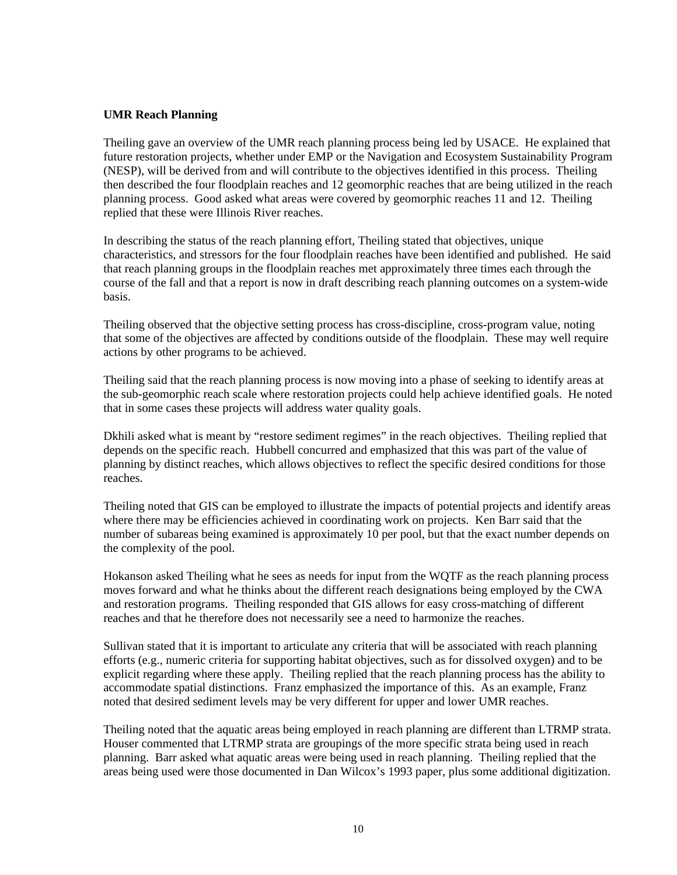#### **UMR Reach Planning**

Theiling gave an overview of the UMR reach planning process being led by USACE. He explained that future restoration projects, whether under EMP or the Navigation and Ecosystem Sustainability Program (NESP), will be derived from and will contribute to the objectives identified in this process. Theiling then described the four floodplain reaches and 12 geomorphic reaches that are being utilized in the reach planning process. Good asked what areas were covered by geomorphic reaches 11 and 12. Theiling replied that these were Illinois River reaches.

In describing the status of the reach planning effort, Theiling stated that objectives, unique characteristics, and stressors for the four floodplain reaches have been identified and published. He said that reach planning groups in the floodplain reaches met approximately three times each through the course of the fall and that a report is now in draft describing reach planning outcomes on a system-wide basis.

Theiling observed that the objective setting process has cross-discipline, cross-program value, noting that some of the objectives are affected by conditions outside of the floodplain. These may well require actions by other programs to be achieved.

Theiling said that the reach planning process is now moving into a phase of seeking to identify areas at the sub-geomorphic reach scale where restoration projects could help achieve identified goals. He noted that in some cases these projects will address water quality goals.

Dkhili asked what is meant by "restore sediment regimes" in the reach objectives. Theiling replied that depends on the specific reach. Hubbell concurred and emphasized that this was part of the value of planning by distinct reaches, which allows objectives to reflect the specific desired conditions for those reaches.

Theiling noted that GIS can be employed to illustrate the impacts of potential projects and identify areas where there may be efficiencies achieved in coordinating work on projects. Ken Barr said that the number of subareas being examined is approximately 10 per pool, but that the exact number depends on the complexity of the pool.

Hokanson asked Theiling what he sees as needs for input from the WQTF as the reach planning process moves forward and what he thinks about the different reach designations being employed by the CWA and restoration programs. Theiling responded that GIS allows for easy cross-matching of different reaches and that he therefore does not necessarily see a need to harmonize the reaches.

Sullivan stated that it is important to articulate any criteria that will be associated with reach planning efforts (e.g., numeric criteria for supporting habitat objectives, such as for dissolved oxygen) and to be explicit regarding where these apply. Theiling replied that the reach planning process has the ability to accommodate spatial distinctions. Franz emphasized the importance of this. As an example, Franz noted that desired sediment levels may be very different for upper and lower UMR reaches.

Theiling noted that the aquatic areas being employed in reach planning are different than LTRMP strata. Houser commented that LTRMP strata are groupings of the more specific strata being used in reach planning. Barr asked what aquatic areas were being used in reach planning. Theiling replied that the areas being used were those documented in Dan Wilcox's 1993 paper, plus some additional digitization.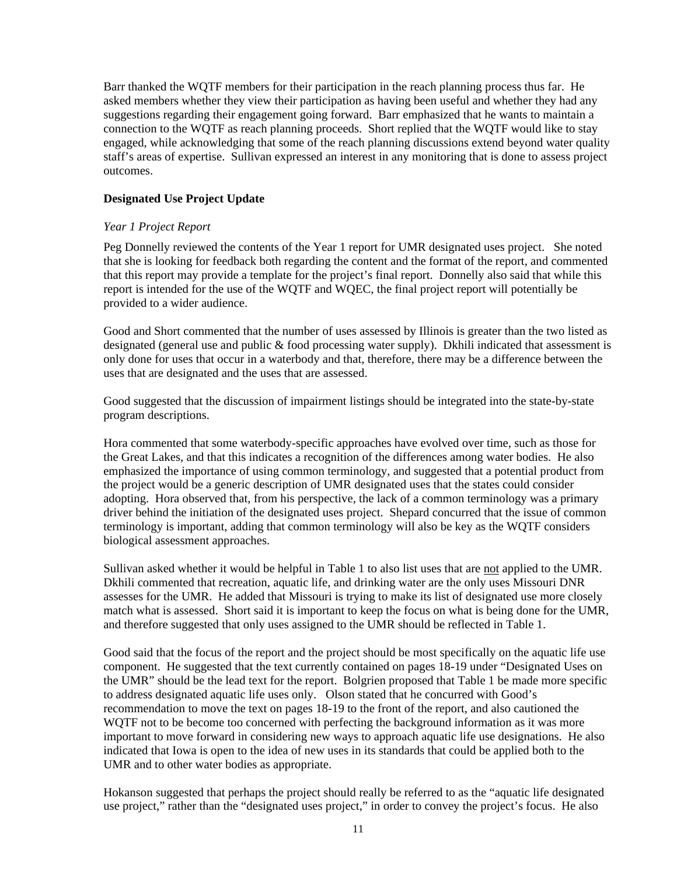Barr thanked the WQTF members for their participation in the reach planning process thus far. He asked members whether they view their participation as having been useful and whether they had any suggestions regarding their engagement going forward. Barr emphasized that he wants to maintain a connection to the WQTF as reach planning proceeds. Short replied that the WQTF would like to stay engaged, while acknowledging that some of the reach planning discussions extend beyond water quality staff's areas of expertise. Sullivan expressed an interest in any monitoring that is done to assess project outcomes.

# **Designated Use Project Update**

# *Year 1 Project Report*

Peg Donnelly reviewed the contents of the Year 1 report for UMR designated uses project. She noted that she is looking for feedback both regarding the content and the format of the report, and commented that this report may provide a template for the project's final report. Donnelly also said that while this report is intended for the use of the WQTF and WQEC, the final project report will potentially be provided to a wider audience.

Good and Short commented that the number of uses assessed by Illinois is greater than the two listed as designated (general use and public & food processing water supply). Dkhili indicated that assessment is only done for uses that occur in a waterbody and that, therefore, there may be a difference between the uses that are designated and the uses that are assessed.

Good suggested that the discussion of impairment listings should be integrated into the state-by-state program descriptions.

Hora commented that some waterbody-specific approaches have evolved over time, such as those for the Great Lakes, and that this indicates a recognition of the differences among water bodies. He also emphasized the importance of using common terminology, and suggested that a potential product from the project would be a generic description of UMR designated uses that the states could consider adopting. Hora observed that, from his perspective, the lack of a common terminology was a primary driver behind the initiation of the designated uses project. Shepard concurred that the issue of common terminology is important, adding that common terminology will also be key as the WQTF considers biological assessment approaches.

Sullivan asked whether it would be helpful in Table 1 to also list uses that are not applied to the UMR. Dkhili commented that recreation, aquatic life, and drinking water are the only uses Missouri DNR assesses for the UMR. He added that Missouri is trying to make its list of designated use more closely match what is assessed. Short said it is important to keep the focus on what is being done for the UMR, and therefore suggested that only uses assigned to the UMR should be reflected in Table 1.

Good said that the focus of the report and the project should be most specifically on the aquatic life use component. He suggested that the text currently contained on pages 18-19 under "Designated Uses on the UMR" should be the lead text for the report. Bolgrien proposed that Table 1 be made more specific to address designated aquatic life uses only. Olson stated that he concurred with Good's recommendation to move the text on pages 18-19 to the front of the report, and also cautioned the WQTF not to be become too concerned with perfecting the background information as it was more important to move forward in considering new ways to approach aquatic life use designations. He also indicated that Iowa is open to the idea of new uses in its standards that could be applied both to the UMR and to other water bodies as appropriate.

Hokanson suggested that perhaps the project should really be referred to as the "aquatic life designated use project," rather than the "designated uses project," in order to convey the project's focus. He also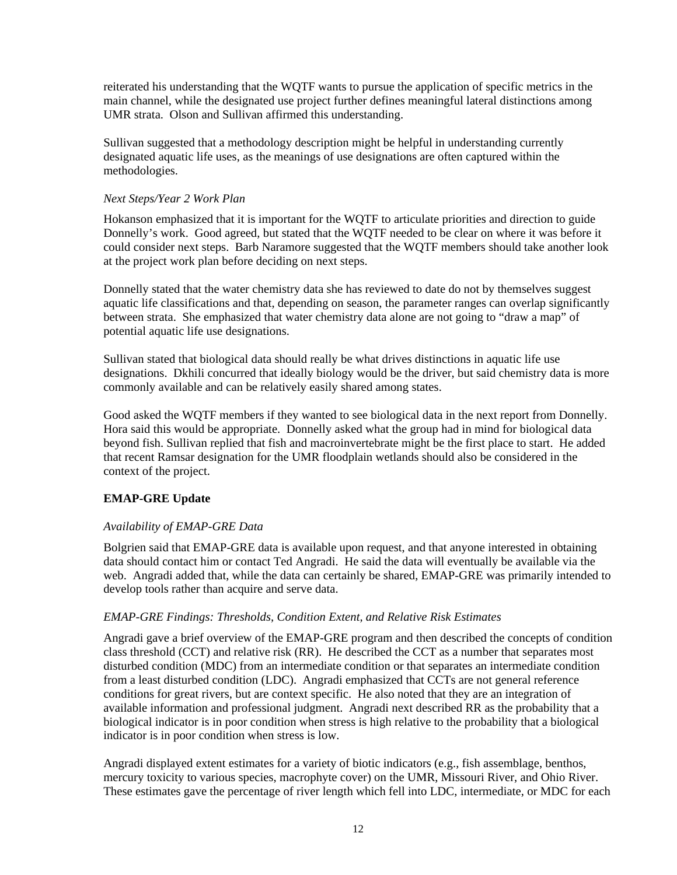reiterated his understanding that the WQTF wants to pursue the application of specific metrics in the main channel, while the designated use project further defines meaningful lateral distinctions among UMR strata. Olson and Sullivan affirmed this understanding.

Sullivan suggested that a methodology description might be helpful in understanding currently designated aquatic life uses, as the meanings of use designations are often captured within the methodologies.

#### *Next Steps/Year 2 Work Plan*

Hokanson emphasized that it is important for the WQTF to articulate priorities and direction to guide Donnelly's work. Good agreed, but stated that the WQTF needed to be clear on where it was before it could consider next steps. Barb Naramore suggested that the WQTF members should take another look at the project work plan before deciding on next steps.

Donnelly stated that the water chemistry data she has reviewed to date do not by themselves suggest aquatic life classifications and that, depending on season, the parameter ranges can overlap significantly between strata. She emphasized that water chemistry data alone are not going to "draw a map" of potential aquatic life use designations.

Sullivan stated that biological data should really be what drives distinctions in aquatic life use designations. Dkhili concurred that ideally biology would be the driver, but said chemistry data is more commonly available and can be relatively easily shared among states.

Good asked the WQTF members if they wanted to see biological data in the next report from Donnelly. Hora said this would be appropriate. Donnelly asked what the group had in mind for biological data beyond fish. Sullivan replied that fish and macroinvertebrate might be the first place to start. He added that recent Ramsar designation for the UMR floodplain wetlands should also be considered in the context of the project.

# **EMAP-GRE Update**

# *Availability of EMAP-GRE Data*

Bolgrien said that EMAP-GRE data is available upon request, and that anyone interested in obtaining data should contact him or contact Ted Angradi. He said the data will eventually be available via the web. Angradi added that, while the data can certainly be shared, EMAP-GRE was primarily intended to develop tools rather than acquire and serve data.

# *EMAP-GRE Findings: Thresholds, Condition Extent, and Relative Risk Estimates*

Angradi gave a brief overview of the EMAP-GRE program and then described the concepts of condition class threshold (CCT) and relative risk (RR). He described the CCT as a number that separates most disturbed condition (MDC) from an intermediate condition or that separates an intermediate condition from a least disturbed condition (LDC). Angradi emphasized that CCTs are not general reference conditions for great rivers, but are context specific. He also noted that they are an integration of available information and professional judgment. Angradi next described RR as the probability that a biological indicator is in poor condition when stress is high relative to the probability that a biological indicator is in poor condition when stress is low.

Angradi displayed extent estimates for a variety of biotic indicators (e.g., fish assemblage, benthos, mercury toxicity to various species, macrophyte cover) on the UMR, Missouri River, and Ohio River. These estimates gave the percentage of river length which fell into LDC, intermediate, or MDC for each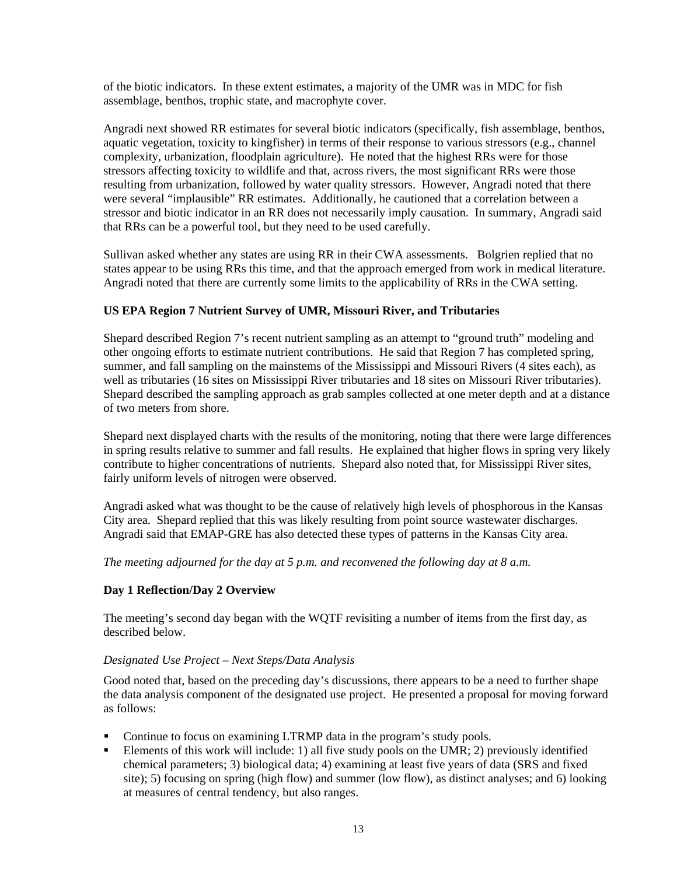of the biotic indicators. In these extent estimates, a majority of the UMR was in MDC for fish assemblage, benthos, trophic state, and macrophyte cover.

Angradi next showed RR estimates for several biotic indicators (specifically, fish assemblage, benthos, aquatic vegetation, toxicity to kingfisher) in terms of their response to various stressors (e.g., channel complexity, urbanization, floodplain agriculture). He noted that the highest RRs were for those stressors affecting toxicity to wildlife and that, across rivers, the most significant RRs were those resulting from urbanization, followed by water quality stressors. However, Angradi noted that there were several "implausible" RR estimates. Additionally, he cautioned that a correlation between a stressor and biotic indicator in an RR does not necessarily imply causation. In summary, Angradi said that RRs can be a powerful tool, but they need to be used carefully.

Sullivan asked whether any states are using RR in their CWA assessments. Bolgrien replied that no states appear to be using RRs this time, and that the approach emerged from work in medical literature. Angradi noted that there are currently some limits to the applicability of RRs in the CWA setting.

# **US EPA Region 7 Nutrient Survey of UMR, Missouri River, and Tributaries**

Shepard described Region 7's recent nutrient sampling as an attempt to "ground truth" modeling and other ongoing efforts to estimate nutrient contributions. He said that Region 7 has completed spring, summer, and fall sampling on the mainstems of the Mississippi and Missouri Rivers (4 sites each), as well as tributaries (16 sites on Mississippi River tributaries and 18 sites on Missouri River tributaries). Shepard described the sampling approach as grab samples collected at one meter depth and at a distance of two meters from shore.

Shepard next displayed charts with the results of the monitoring, noting that there were large differences in spring results relative to summer and fall results. He explained that higher flows in spring very likely contribute to higher concentrations of nutrients. Shepard also noted that, for Mississippi River sites, fairly uniform levels of nitrogen were observed.

Angradi asked what was thought to be the cause of relatively high levels of phosphorous in the Kansas City area. Shepard replied that this was likely resulting from point source wastewater discharges. Angradi said that EMAP-GRE has also detected these types of patterns in the Kansas City area.

*The meeting adjourned for the day at 5 p.m. and reconvened the following day at 8 a.m.*

# **Day 1 Reflection/Day 2 Overview**

The meeting's second day began with the WQTF revisiting a number of items from the first day, as described below.

# *Designated Use Project – Next Steps/Data Analysis*

Good noted that, based on the preceding day's discussions, there appears to be a need to further shape the data analysis component of the designated use project. He presented a proposal for moving forward as follows:

- Continue to focus on examining LTRMP data in the program's study pools.
- Elements of this work will include: 1) all five study pools on the UMR; 2) previously identified chemical parameters; 3) biological data; 4) examining at least five years of data (SRS and fixed site); 5) focusing on spring (high flow) and summer (low flow), as distinct analyses; and 6) looking at measures of central tendency, but also ranges.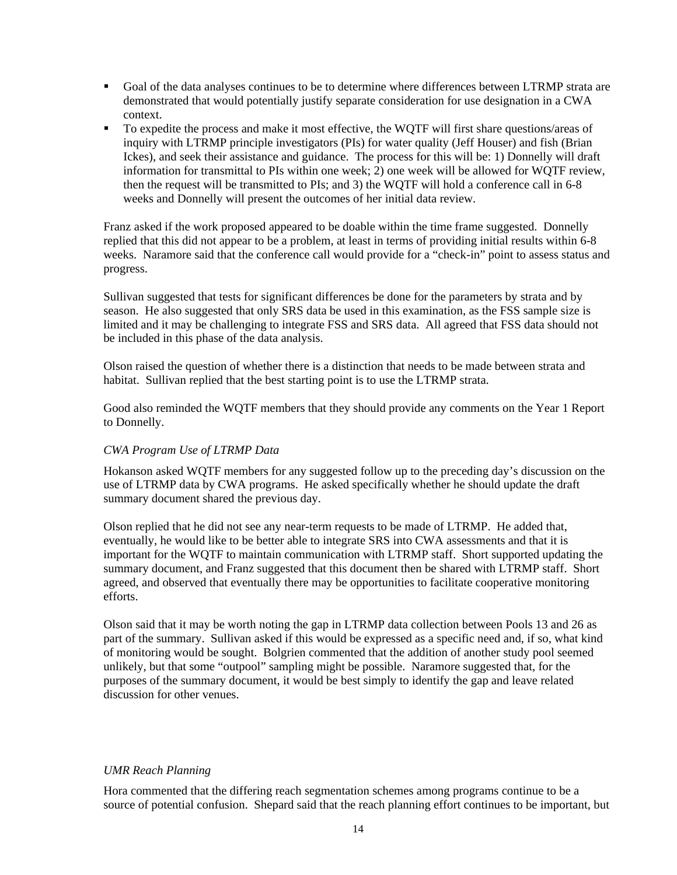- Goal of the data analyses continues to be to determine where differences between LTRMP strata are demonstrated that would potentially justify separate consideration for use designation in a CWA context.
- To expedite the process and make it most effective, the WQTF will first share questions/areas of inquiry with LTRMP principle investigators (PIs) for water quality (Jeff Houser) and fish (Brian Ickes), and seek their assistance and guidance. The process for this will be: 1) Donnelly will draft information for transmittal to PIs within one week; 2) one week will be allowed for WQTF review, then the request will be transmitted to PIs; and 3) the WQTF will hold a conference call in 6-8 weeks and Donnelly will present the outcomes of her initial data review.

Franz asked if the work proposed appeared to be doable within the time frame suggested. Donnelly replied that this did not appear to be a problem, at least in terms of providing initial results within 6-8 weeks. Naramore said that the conference call would provide for a "check-in" point to assess status and progress.

Sullivan suggested that tests for significant differences be done for the parameters by strata and by season. He also suggested that only SRS data be used in this examination, as the FSS sample size is limited and it may be challenging to integrate FSS and SRS data. All agreed that FSS data should not be included in this phase of the data analysis.

Olson raised the question of whether there is a distinction that needs to be made between strata and habitat. Sullivan replied that the best starting point is to use the LTRMP strata.

Good also reminded the WQTF members that they should provide any comments on the Year 1 Report to Donnelly.

# *CWA Program Use of LTRMP Data*

Hokanson asked WQTF members for any suggested follow up to the preceding day's discussion on the use of LTRMP data by CWA programs. He asked specifically whether he should update the draft summary document shared the previous day.

Olson replied that he did not see any near-term requests to be made of LTRMP. He added that, eventually, he would like to be better able to integrate SRS into CWA assessments and that it is important for the WQTF to maintain communication with LTRMP staff. Short supported updating the summary document, and Franz suggested that this document then be shared with LTRMP staff. Short agreed, and observed that eventually there may be opportunities to facilitate cooperative monitoring efforts.

Olson said that it may be worth noting the gap in LTRMP data collection between Pools 13 and 26 as part of the summary. Sullivan asked if this would be expressed as a specific need and, if so, what kind of monitoring would be sought. Bolgrien commented that the addition of another study pool seemed unlikely, but that some "outpool" sampling might be possible. Naramore suggested that, for the purposes of the summary document, it would be best simply to identify the gap and leave related discussion for other venues.

# *UMR Reach Planning*

Hora commented that the differing reach segmentation schemes among programs continue to be a source of potential confusion. Shepard said that the reach planning effort continues to be important, but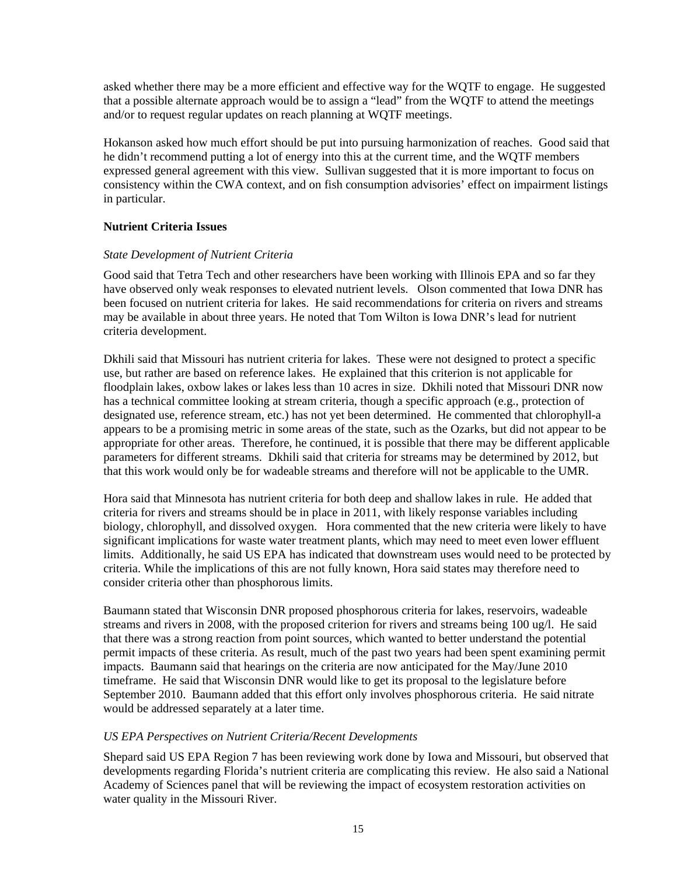asked whether there may be a more efficient and effective way for the WQTF to engage. He suggested that a possible alternate approach would be to assign a "lead" from the WQTF to attend the meetings and/or to request regular updates on reach planning at WQTF meetings.

Hokanson asked how much effort should be put into pursuing harmonization of reaches. Good said that he didn't recommend putting a lot of energy into this at the current time, and the WQTF members expressed general agreement with this view. Sullivan suggested that it is more important to focus on consistency within the CWA context, and on fish consumption advisories' effect on impairment listings in particular.

# **Nutrient Criteria Issues**

#### *State Development of Nutrient Criteria*

Good said that Tetra Tech and other researchers have been working with Illinois EPA and so far they have observed only weak responses to elevated nutrient levels. Olson commented that Iowa DNR has been focused on nutrient criteria for lakes. He said recommendations for criteria on rivers and streams may be available in about three years. He noted that Tom Wilton is Iowa DNR's lead for nutrient criteria development.

Dkhili said that Missouri has nutrient criteria for lakes. These were not designed to protect a specific use, but rather are based on reference lakes. He explained that this criterion is not applicable for floodplain lakes, oxbow lakes or lakes less than 10 acres in size. Dkhili noted that Missouri DNR now has a technical committee looking at stream criteria, though a specific approach (e.g., protection of designated use, reference stream, etc.) has not yet been determined. He commented that chlorophyll-a appears to be a promising metric in some areas of the state, such as the Ozarks, but did not appear to be appropriate for other areas. Therefore, he continued, it is possible that there may be different applicable parameters for different streams. Dkhili said that criteria for streams may be determined by 2012, but that this work would only be for wadeable streams and therefore will not be applicable to the UMR.

Hora said that Minnesota has nutrient criteria for both deep and shallow lakes in rule. He added that criteria for rivers and streams should be in place in 2011, with likely response variables including biology, chlorophyll, and dissolved oxygen. Hora commented that the new criteria were likely to have significant implications for waste water treatment plants, which may need to meet even lower effluent limits. Additionally, he said US EPA has indicated that downstream uses would need to be protected by criteria. While the implications of this are not fully known, Hora said states may therefore need to consider criteria other than phosphorous limits.

Baumann stated that Wisconsin DNR proposed phosphorous criteria for lakes, reservoirs, wadeable streams and rivers in 2008, with the proposed criterion for rivers and streams being 100 ug/l. He said that there was a strong reaction from point sources, which wanted to better understand the potential permit impacts of these criteria. As result, much of the past two years had been spent examining permit impacts. Baumann said that hearings on the criteria are now anticipated for the May/June 2010 timeframe. He said that Wisconsin DNR would like to get its proposal to the legislature before September 2010. Baumann added that this effort only involves phosphorous criteria. He said nitrate would be addressed separately at a later time.

#### *US EPA Perspectives on Nutrient Criteria/Recent Developments*

Shepard said US EPA Region 7 has been reviewing work done by Iowa and Missouri, but observed that developments regarding Florida's nutrient criteria are complicating this review. He also said a National Academy of Sciences panel that will be reviewing the impact of ecosystem restoration activities on water quality in the Missouri River.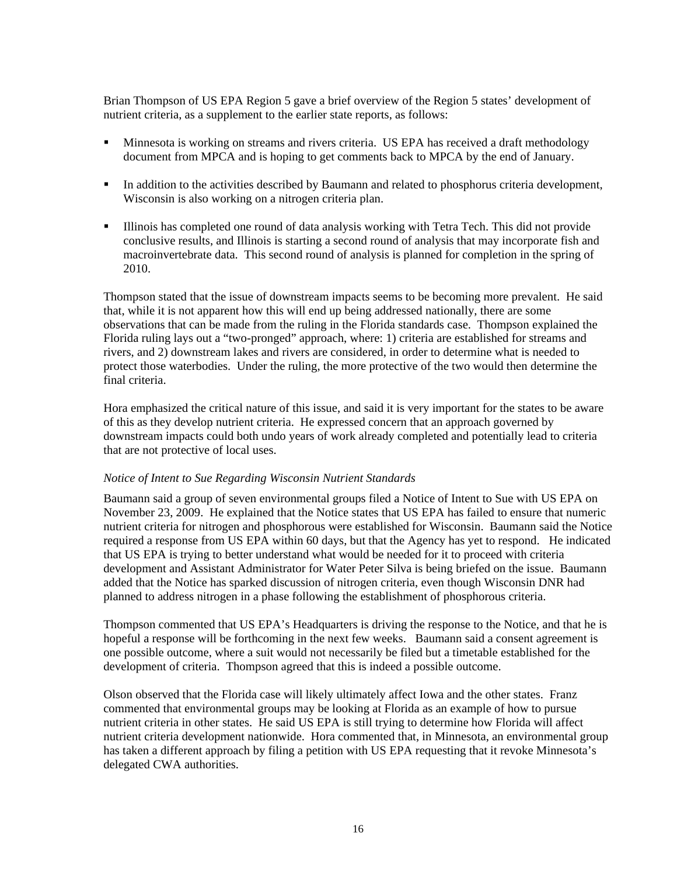Brian Thompson of US EPA Region 5 gave a brief overview of the Region 5 states' development of nutrient criteria, as a supplement to the earlier state reports, as follows:

- **Minnesota is working on streams and rivers criteria. US EPA has received a draft methodology** document from MPCA and is hoping to get comments back to MPCA by the end of January.
- In addition to the activities described by Baumann and related to phosphorus criteria development, Wisconsin is also working on a nitrogen criteria plan.
- Illinois has completed one round of data analysis working with Tetra Tech. This did not provide conclusive results, and Illinois is starting a second round of analysis that may incorporate fish and macroinvertebrate data. This second round of analysis is planned for completion in the spring of 2010.

Thompson stated that the issue of downstream impacts seems to be becoming more prevalent. He said that, while it is not apparent how this will end up being addressed nationally, there are some observations that can be made from the ruling in the Florida standards case. Thompson explained the Florida ruling lays out a "two-pronged" approach, where: 1) criteria are established for streams and rivers, and 2) downstream lakes and rivers are considered, in order to determine what is needed to protect those waterbodies. Under the ruling, the more protective of the two would then determine the final criteria.

Hora emphasized the critical nature of this issue, and said it is very important for the states to be aware of this as they develop nutrient criteria. He expressed concern that an approach governed by downstream impacts could both undo years of work already completed and potentially lead to criteria that are not protective of local uses.

#### *Notice of Intent to Sue Regarding Wisconsin Nutrient Standards*

Baumann said a group of seven environmental groups filed a Notice of Intent to Sue with US EPA on November 23, 2009. He explained that the Notice states that US EPA has failed to ensure that numeric nutrient criteria for nitrogen and phosphorous were established for Wisconsin. Baumann said the Notice required a response from US EPA within 60 days, but that the Agency has yet to respond. He indicated that US EPA is trying to better understand what would be needed for it to proceed with criteria development and Assistant Administrator for Water Peter Silva is being briefed on the issue. Baumann added that the Notice has sparked discussion of nitrogen criteria, even though Wisconsin DNR had planned to address nitrogen in a phase following the establishment of phosphorous criteria.

Thompson commented that US EPA's Headquarters is driving the response to the Notice, and that he is hopeful a response will be forthcoming in the next few weeks. Baumann said a consent agreement is one possible outcome, where a suit would not necessarily be filed but a timetable established for the development of criteria. Thompson agreed that this is indeed a possible outcome.

Olson observed that the Florida case will likely ultimately affect Iowa and the other states. Franz commented that environmental groups may be looking at Florida as an example of how to pursue nutrient criteria in other states. He said US EPA is still trying to determine how Florida will affect nutrient criteria development nationwide. Hora commented that, in Minnesota, an environmental group has taken a different approach by filing a petition with US EPA requesting that it revoke Minnesota's delegated CWA authorities.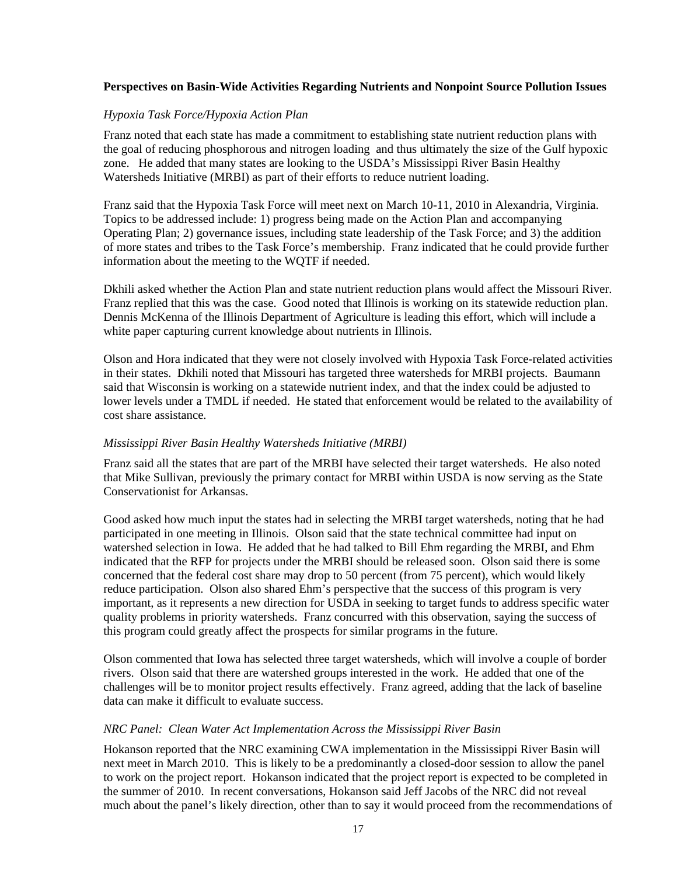#### **Perspectives on Basin-Wide Activities Regarding Nutrients and Nonpoint Source Pollution Issues**

#### *Hypoxia Task Force/Hypoxia Action Plan*

Franz noted that each state has made a commitment to establishing state nutrient reduction plans with the goal of reducing phosphorous and nitrogen loading and thus ultimately the size of the Gulf hypoxic zone. He added that many states are looking to the USDA's Mississippi River Basin Healthy Watersheds Initiative (MRBI) as part of their efforts to reduce nutrient loading.

Franz said that the Hypoxia Task Force will meet next on March 10-11, 2010 in Alexandria, Virginia. Topics to be addressed include: 1) progress being made on the Action Plan and accompanying Operating Plan; 2) governance issues, including state leadership of the Task Force; and 3) the addition of more states and tribes to the Task Force's membership. Franz indicated that he could provide further information about the meeting to the WQTF if needed.

Dkhili asked whether the Action Plan and state nutrient reduction plans would affect the Missouri River. Franz replied that this was the case. Good noted that Illinois is working on its statewide reduction plan. Dennis McKenna of the Illinois Department of Agriculture is leading this effort, which will include a white paper capturing current knowledge about nutrients in Illinois.

Olson and Hora indicated that they were not closely involved with Hypoxia Task Force-related activities in their states. Dkhili noted that Missouri has targeted three watersheds for MRBI projects. Baumann said that Wisconsin is working on a statewide nutrient index, and that the index could be adjusted to lower levels under a TMDL if needed. He stated that enforcement would be related to the availability of cost share assistance.

#### *Mississippi River Basin Healthy Watersheds Initiative (MRBI)*

Franz said all the states that are part of the MRBI have selected their target watersheds. He also noted that Mike Sullivan, previously the primary contact for MRBI within USDA is now serving as the State Conservationist for Arkansas.

Good asked how much input the states had in selecting the MRBI target watersheds, noting that he had participated in one meeting in Illinois. Olson said that the state technical committee had input on watershed selection in Iowa. He added that he had talked to Bill Ehm regarding the MRBI, and Ehm indicated that the RFP for projects under the MRBI should be released soon. Olson said there is some concerned that the federal cost share may drop to 50 percent (from 75 percent), which would likely reduce participation. Olson also shared Ehm's perspective that the success of this program is very important, as it represents a new direction for USDA in seeking to target funds to address specific water quality problems in priority watersheds. Franz concurred with this observation, saying the success of this program could greatly affect the prospects for similar programs in the future.

Olson commented that Iowa has selected three target watersheds, which will involve a couple of border rivers. Olson said that there are watershed groups interested in the work. He added that one of the challenges will be to monitor project results effectively. Franz agreed, adding that the lack of baseline data can make it difficult to evaluate success.

#### *NRC Panel: Clean Water Act Implementation Across the Mississippi River Basin*

Hokanson reported that the NRC examining CWA implementation in the Mississippi River Basin will next meet in March 2010. This is likely to be a predominantly a closed-door session to allow the panel to work on the project report. Hokanson indicated that the project report is expected to be completed in the summer of 2010. In recent conversations, Hokanson said Jeff Jacobs of the NRC did not reveal much about the panel's likely direction, other than to say it would proceed from the recommendations of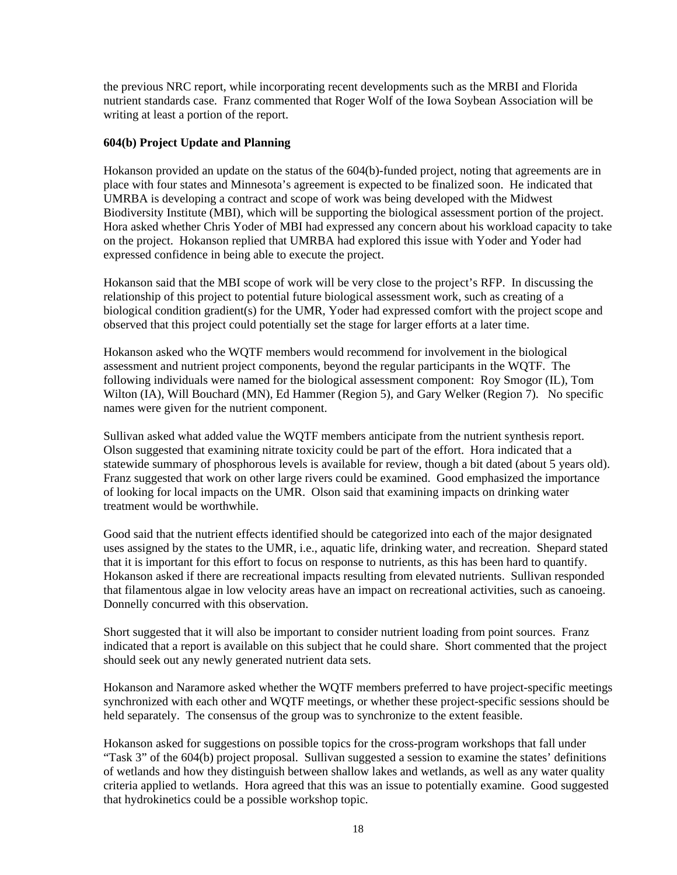the previous NRC report, while incorporating recent developments such as the MRBI and Florida nutrient standards case. Franz commented that Roger Wolf of the Iowa Soybean Association will be writing at least a portion of the report.

# **604(b) Project Update and Planning**

Hokanson provided an update on the status of the 604(b)-funded project, noting that agreements are in place with four states and Minnesota's agreement is expected to be finalized soon. He indicated that UMRBA is developing a contract and scope of work was being developed with the Midwest Biodiversity Institute (MBI), which will be supporting the biological assessment portion of the project. Hora asked whether Chris Yoder of MBI had expressed any concern about his workload capacity to take on the project. Hokanson replied that UMRBA had explored this issue with Yoder and Yoder had expressed confidence in being able to execute the project.

Hokanson said that the MBI scope of work will be very close to the project's RFP. In discussing the relationship of this project to potential future biological assessment work, such as creating of a biological condition gradient(s) for the UMR, Yoder had expressed comfort with the project scope and observed that this project could potentially set the stage for larger efforts at a later time.

Hokanson asked who the WQTF members would recommend for involvement in the biological assessment and nutrient project components, beyond the regular participants in the WQTF. The following individuals were named for the biological assessment component: Roy Smogor (IL), Tom Wilton (IA), Will Bouchard (MN), Ed Hammer (Region 5), and Gary Welker (Region 7). No specific names were given for the nutrient component.

Sullivan asked what added value the WQTF members anticipate from the nutrient synthesis report. Olson suggested that examining nitrate toxicity could be part of the effort. Hora indicated that a statewide summary of phosphorous levels is available for review, though a bit dated (about 5 years old). Franz suggested that work on other large rivers could be examined. Good emphasized the importance of looking for local impacts on the UMR. Olson said that examining impacts on drinking water treatment would be worthwhile.

Good said that the nutrient effects identified should be categorized into each of the major designated uses assigned by the states to the UMR, i.e., aquatic life, drinking water, and recreation. Shepard stated that it is important for this effort to focus on response to nutrients, as this has been hard to quantify. Hokanson asked if there are recreational impacts resulting from elevated nutrients. Sullivan responded that filamentous algae in low velocity areas have an impact on recreational activities, such as canoeing. Donnelly concurred with this observation.

Short suggested that it will also be important to consider nutrient loading from point sources. Franz indicated that a report is available on this subject that he could share. Short commented that the project should seek out any newly generated nutrient data sets.

Hokanson and Naramore asked whether the WQTF members preferred to have project-specific meetings synchronized with each other and WQTF meetings, or whether these project-specific sessions should be held separately. The consensus of the group was to synchronize to the extent feasible.

Hokanson asked for suggestions on possible topics for the cross-program workshops that fall under "Task 3" of the 604(b) project proposal. Sullivan suggested a session to examine the states' definitions of wetlands and how they distinguish between shallow lakes and wetlands, as well as any water quality criteria applied to wetlands. Hora agreed that this was an issue to potentially examine. Good suggested that hydrokinetics could be a possible workshop topic.